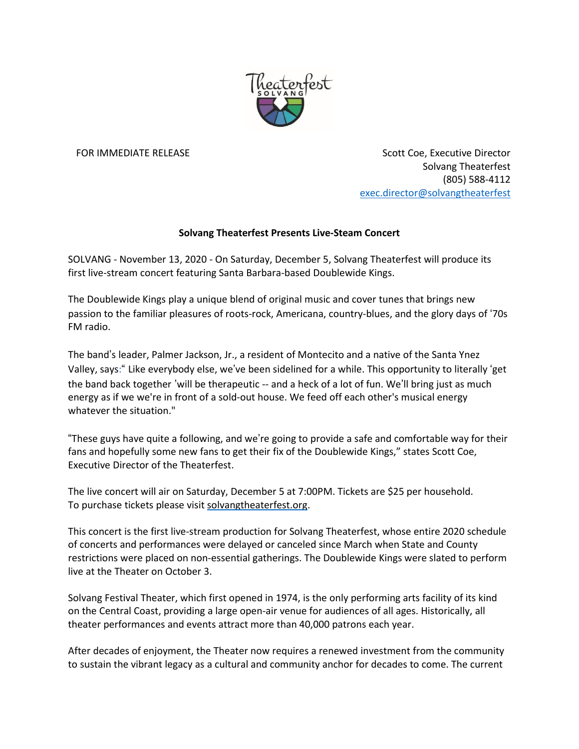

FOR IMMEDIATE RELEASE STORES AND THE SCOTT COE, Executive Director Solvang Theaterfest (805) 588-4112 [exec.director@solvangtheaterfest](mailto:exec.director@solvangtheaterfest)

## **Solvang Theaterfest Presents Live-Steam Concert**

SOLVANG - November 13, 2020 - On Saturday, December 5, Solvang Theaterfest will produce its first live-stream concert featuring Santa Barbara-based Doublewide Kings.

The Doublewide Kings play a unique blend of original music and cover tunes that brings new passion to the familiar pleasures of roots-rock, Americana, country-blues, and the glory days of '70s FM radio.

The band's leader, Palmer Jackson, Jr., a resident of Montecito and a native of the Santa Ynez Valley, says:" Like everybody else, we've been sidelined for a while. This opportunity to literally 'get the band back together 'will be therapeutic -- and a heck of a lot of fun. We'll bring just as much energy as if we we're in front of a sold-out house. We feed off each other's musical energy whatever the situation."

"These guys have quite a following, and we're going to provide a safe and comfortable way for their fans and hopefully some new fans to get their fix of the Doublewide Kings," states Scott Coe, Executive Director of the Theaterfest.

The live concert will air on Saturday, December 5 at 7:00PM. Tickets are \$25 per household. To purchase tickets please visit [solvangtheaterfest.org.](http://solvangtheaterfest.org/)

This concert is the first live-stream production for Solvang Theaterfest, whose entire 2020 schedule of concerts and performances were delayed or canceled since March when State and County restrictions were placed on non-essential gatherings. The Doublewide Kings were slated to perform live at the Theater on October 3.

Solvang Festival Theater, which first opened in 1974, is the only performing arts facility of its kind on the Central Coast, providing a large open-air venue for audiences of all ages. Historically, all theater performances and events attract more than 40,000 patrons each year.

After decades of enjoyment, the Theater now requires a renewed investment from the community to sustain the vibrant legacy as a cultural and community anchor for decades to come. The current